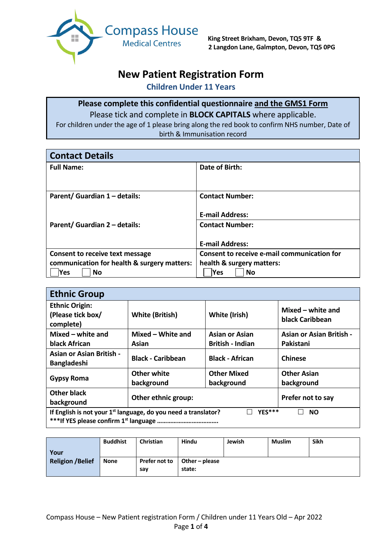

# **New Patient Registration Form**

**Children Under 11 Years**

## **Please complete this confidential questionnaire and the GMS1 Form** Please tick and complete in **BLOCK CAPITALS** where applicable.

For children under the age of 1 please bring along the red book to confirm NHS number, Date of birth & Immunisation record

| <b>Contact Details</b>                      |                                             |
|---------------------------------------------|---------------------------------------------|
| <b>Full Name:</b>                           | Date of Birth:                              |
|                                             |                                             |
| Parent/ Guardian 1 - details:               | <b>Contact Number:</b>                      |
|                                             | <b>E-mail Address:</b>                      |
| Parent/ Guardian 2 - details:               | <b>Contact Number:</b>                      |
|                                             | <b>E-mail Address:</b>                      |
| Consent to receive text message             | Consent to receive e-mail communication for |
| communication for health & surgery matters: | health & surgery matters:                   |
| <b>Yes</b><br><b>No</b>                     | <b>Yes</b><br>No                            |

| <b>Ethnic Group</b>                                                                     |                                          |                                              |  |  |  |  |
|-----------------------------------------------------------------------------------------|------------------------------------------|----------------------------------------------|--|--|--|--|
| <b>Ethnic Origin:</b><br>(Please tick box/<br>complete)                                 | <b>White (British)</b>                   | Mixed – white and<br>black Caribbean         |  |  |  |  |
| Mixed – white and<br>black African                                                      | Mixed - White and<br>Asian               | <b>Asian or Asian British -</b><br>Pakistani |  |  |  |  |
| <b>Asian or Asian British -</b><br><b>Bangladeshi</b>                                   | <b>Black - Caribbean</b>                 | <b>Black - African</b>                       |  |  |  |  |
| <b>Gypsy Roma</b>                                                                       | Other white<br>background                | <b>Other Asian</b><br>background             |  |  |  |  |
| <b>Other black</b><br>background                                                        | Other ethnic group:<br>Prefer not to say |                                              |  |  |  |  |
| YES***<br>If English is not your $1st$ language, do you need a translator?<br><b>NO</b> |                                          |                                              |  |  |  |  |

| Your<br><b>Religion /Belief</b> | <b>Buddhist</b> | <b>Christian</b>     | Hindu                                   | Jewish | <b>Muslim</b> | <b>Sikh</b> |
|---------------------------------|-----------------|----------------------|-----------------------------------------|--------|---------------|-------------|
|                                 | <b>None</b>     | Prefer not to<br>say | $\blacksquare$ Other – please<br>state: |        |               |             |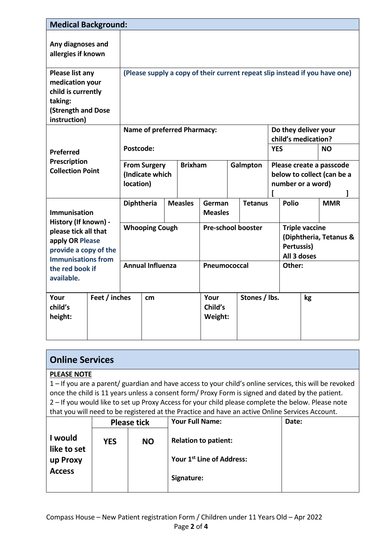| <b>Medical Background:</b>                                                                                                                                                    |                                    |                                                                             |  |                |                                           |                          |                                             |                                                                             |                                                                                        |              |     |            |
|-------------------------------------------------------------------------------------------------------------------------------------------------------------------------------|------------------------------------|-----------------------------------------------------------------------------|--|----------------|-------------------------------------------|--------------------------|---------------------------------------------|-----------------------------------------------------------------------------|----------------------------------------------------------------------------------------|--------------|-----|------------|
| Any diagnoses and<br>allergies if known                                                                                                                                       |                                    |                                                                             |  |                |                                           |                          |                                             |                                                                             |                                                                                        |              |     |            |
| Please list any<br>medication your<br>child is currently<br>taking:<br>(Strength and Dose<br>instruction)                                                                     |                                    | (Please supply a copy of their current repeat slip instead if you have one) |  |                |                                           |                          |                                             |                                                                             |                                                                                        |              |     |            |
|                                                                                                                                                                               | <b>Name of preferred Pharmacy:</b> |                                                                             |  |                |                                           |                          | Do they deliver your<br>child's medication? |                                                                             |                                                                                        |              |     |            |
| <b>Preferred</b><br>Prescription<br><b>Collection Point</b>                                                                                                                   |                                    | Postcode:                                                                   |  |                |                                           |                          |                                             | <b>YES</b>                                                                  |                                                                                        |              | NO. |            |
|                                                                                                                                                                               |                                    | <b>From Surgery</b><br>(Indicate which<br>location)                         |  | <b>Brixham</b> |                                           | Galmpton                 |                                             | Please create a passcode<br>below to collect (can be a<br>number or a word) |                                                                                        |              |     |            |
| <b>Immunisation</b><br>History (If known) -<br>please tick all that<br>apply OR Please<br>provide a copy of the<br><b>Immunisations from</b><br>the red book if<br>available. |                                    | Diphtheria                                                                  |  |                | <b>Measles</b>                            | German<br><b>Measles</b> |                                             | <b>Tetanus</b>                                                              |                                                                                        | <b>Polio</b> |     | <b>MMR</b> |
|                                                                                                                                                                               |                                    | <b>Whooping Cough</b><br><b>Annual Influenza</b>                            |  |                | <b>Pre-school booster</b><br>Pneumococcal |                          |                                             |                                                                             | <b>Triple vaccine</b><br>(Diphtheria, Tetanus &<br>Pertussis)<br>All 3 doses<br>Other: |              |     |            |
| Your<br>child's<br>height:                                                                                                                                                    | Feet / inches                      | cm                                                                          |  |                | Your<br>Child's<br>Weight:                | Stones / lbs.            |                                             |                                                                             |                                                                                        | kg           |     |            |

| <b>Online Services</b> |
|------------------------|
|------------------------|

#### **PLEASE NOTE**

1 – If you are a parent/ guardian and have access to your child's online services, this will be revoked once the child is 11 years unless a consent form/ Proxy Form is signed and dated by the patient. 2 – If you would like to set up Proxy Access for your child please complete the below. Please note that you will need to be registered at the Practice and have an active Online Services Account.

|                        | <b>Please tick</b> |           | <b>Your Full Name:</b>                | Date: |
|------------------------|--------------------|-----------|---------------------------------------|-------|
| l would<br>like to set | <b>YES</b>         | <b>NO</b> | <b>Relation to patient:</b>           |       |
| up Proxy               |                    |           | Your 1 <sup>st</sup> Line of Address: |       |
| <b>Access</b>          |                    |           | Signature:                            |       |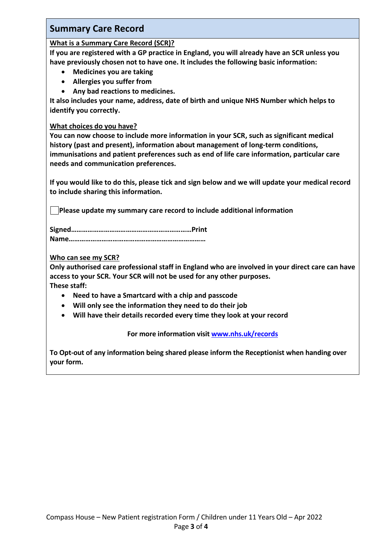# **Summary Care Record**

#### **What is a Summary Care Record (SCR)?**

**If you are registered with a GP practice in England, you will already have an SCR unless you have previously chosen not to have one. It includes the following basic information:** 

- **Medicines you are taking**
- **Allergies you suffer from**
- **Any bad reactions to medicines.**

**It also includes your name, address, date of birth and unique NHS Number which helps to identify you correctly.**

#### **What choices do you have?**

**You can now choose to include more information in your SCR, such as significant medical history (past and present), information about management of long-term conditions, immunisations and patient preferences such as end of life care information, particular care needs and communication preferences.** 

**If you would like to do this, please tick and sign below and we will update your medical record to include sharing this information.**

**Please update my summary care record to include additional information**

**Signed…………………………………………………………Print Name…………………………………………………………………**

#### **Who can see my SCR?**

**Only authorised care professional staff in England who are involved in your direct care can have access to your SCR. Your SCR will not be used for any other purposes.** 

**These staff:** 

- **Need to have a Smartcard with a chip and passcode**
- **Will only see the information they need to do their job**
- **Will have their details recorded every time they look at your record**

**For more information visi[t www.nhs.uk/records](http://www.nhs.uk/records)**

**To Opt-out of any information being shared please inform the Receptionist when handing over your form.**